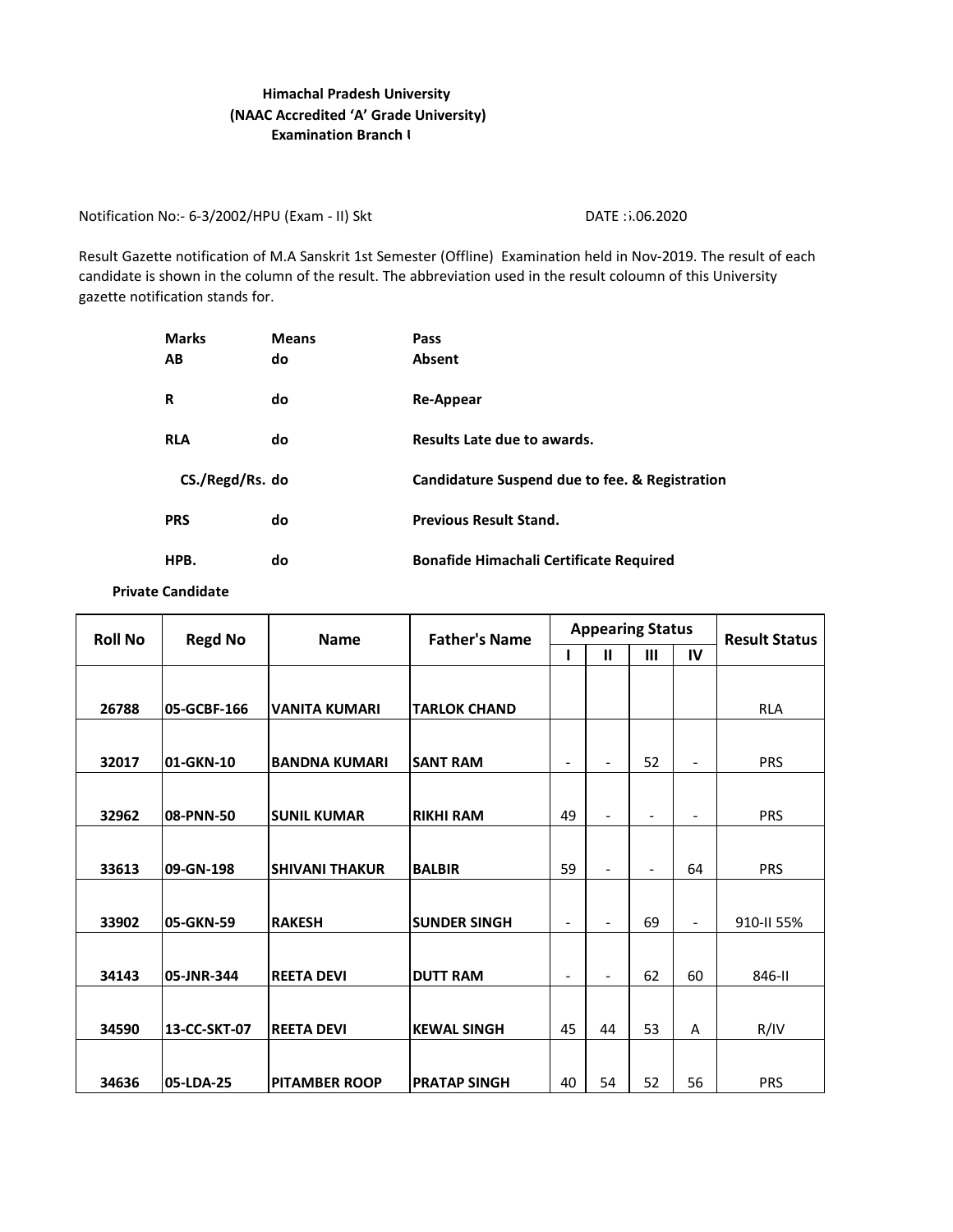## **Examination Branch I Himachal Pradesh University (NAAC Accredited 'A' Grade University)**

Notification No:- 6-3/2002/HPU (Exam - II) Skt DATE : 206.2020

Result Gazette notification of M.A Sanskrit 1st Semester (Offline) Examination held in Nov-2019. The result of each candidate is shown in the column of the result. The abbreviation used in the result coloumn of this University gazette notification stands for.

| <b>Marks</b>    | <b>Means</b> | Pass                                           |
|-----------------|--------------|------------------------------------------------|
| AВ              | do           | <b>Absent</b>                                  |
| R               | do           | Re-Appear                                      |
| <b>RLA</b>      | do           | Results Late due to awards.                    |
| CS./Regd/Rs. do |              | Candidature Suspend due to fee. & Registration |
| <b>PRS</b>      | do           | <b>Previous Result Stand.</b>                  |
| HPB.            | do           | <b>Bonafide Himachali Certificate Required</b> |

**Private Candidate** 

| <b>Roll No</b> | <b>Regd No</b><br><b>Father's Name</b><br><b>Name</b> |                       |                     | <b>Appearing Status</b>  |                          | <b>Result Status</b>         |                          |            |
|----------------|-------------------------------------------------------|-----------------------|---------------------|--------------------------|--------------------------|------------------------------|--------------------------|------------|
|                |                                                       |                       |                     |                          | $\mathbf{u}$             | Ш                            | IV                       |            |
|                |                                                       |                       |                     |                          |                          |                              |                          |            |
| 26788          | 05-GCBF-166                                           | <b>VANITA KUMARI</b>  | <b>TARLOK CHAND</b> |                          |                          |                              |                          | <b>RLA</b> |
|                |                                                       |                       |                     |                          |                          |                              |                          |            |
| 32017          | 01-GKN-10                                             | <b>BANDNA KUMARI</b>  | <b>SANT RAM</b>     | ۰                        |                          | 52                           |                          | <b>PRS</b> |
|                |                                                       |                       |                     |                          |                          |                              |                          |            |
| 32962          | <b>08-PNN-50</b>                                      | <b>SUNIL KUMAR</b>    | <b>RIKHI RAM</b>    | 49                       | $\overline{\phantom{0}}$ | $\qquad \qquad \blacksquare$ | $\overline{\phantom{0}}$ | <b>PRS</b> |
|                |                                                       |                       |                     |                          |                          |                              |                          |            |
| 33613          | 09-GN-198                                             | <b>SHIVANI THAKUR</b> | <b>BALBIR</b>       | 59                       | $\overline{a}$           | $\overline{\phantom{a}}$     | 64                       | <b>PRS</b> |
|                |                                                       |                       |                     |                          |                          |                              |                          |            |
| 33902          | <b>05-GKN-59</b>                                      | <b>RAKESH</b>         | <b>SUNDER SINGH</b> | $\overline{\phantom{a}}$ |                          | 69                           | $\overline{\phantom{a}}$ | 910-II 55% |
|                |                                                       |                       |                     |                          |                          |                              |                          |            |
| 34143          | 05-JNR-344                                            | <b>REETA DEVI</b>     | <b>DUTT RAM</b>     | $\overline{\phantom{a}}$ | $\overline{\phantom{a}}$ | 62                           | 60                       | 846-II     |
|                |                                                       |                       |                     |                          |                          |                              |                          |            |
| 34590          | 13-CC-SKT-07                                          | <b>REETA DEVI</b>     | <b>KEWAL SINGH</b>  | 45                       | 44                       | 53                           | A                        | R/IV       |
|                |                                                       |                       |                     |                          |                          |                              |                          |            |
| 34636          | 05-LDA-25                                             | <b>PITAMBER ROOP</b>  | <b>PRATAP SINGH</b> | 40                       | 54                       | 52                           | 56                       | <b>PRS</b> |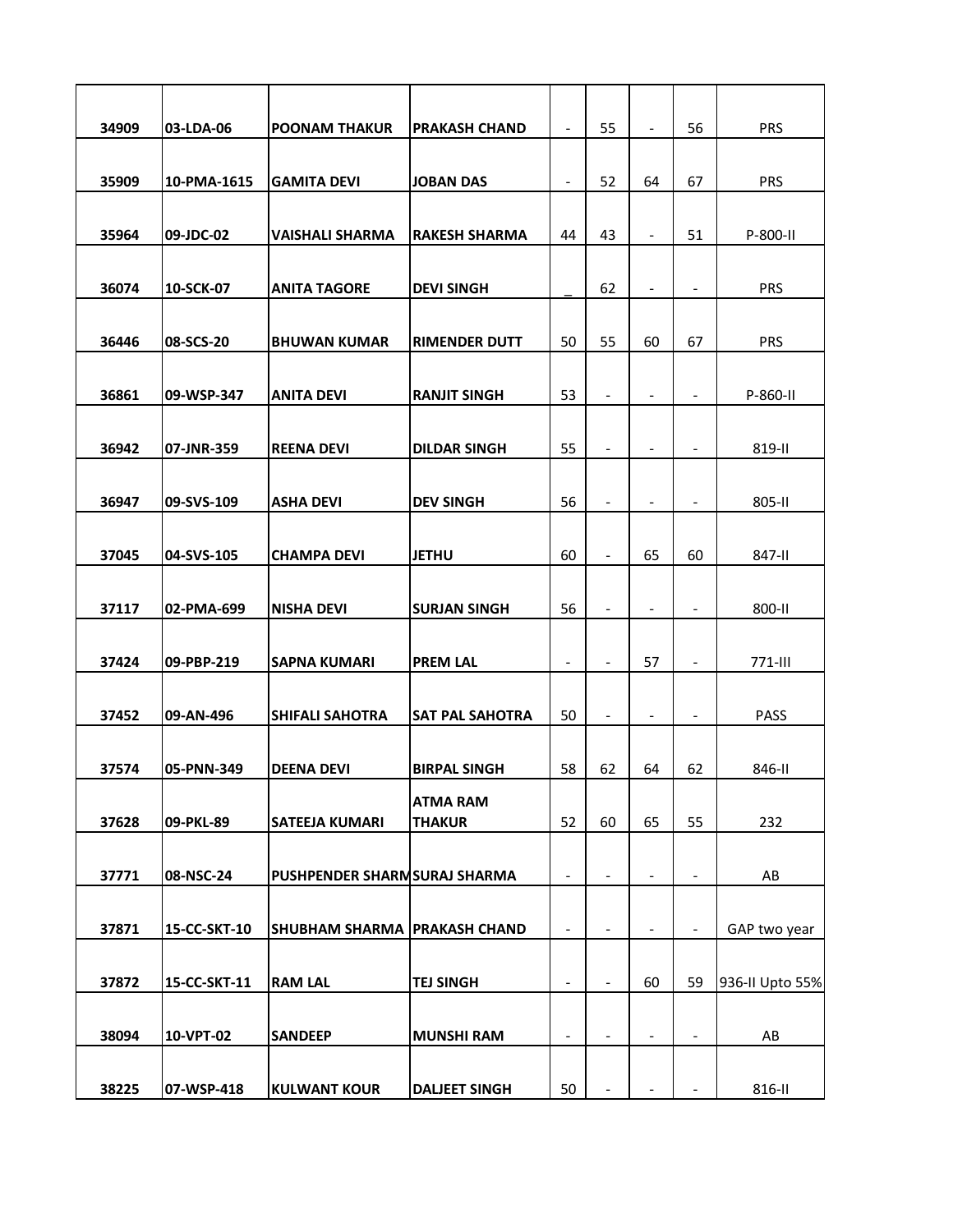| 34909 | 03-LDA-06    | <b>POONAM THAKUR</b>           | <b>PRAKASH CHAND</b> | $\overline{\phantom{a}}$     | 55                           | $\overline{\phantom{a}}$ | 56                       | <b>PRS</b>      |
|-------|--------------|--------------------------------|----------------------|------------------------------|------------------------------|--------------------------|--------------------------|-----------------|
|       |              |                                |                      |                              |                              |                          |                          |                 |
| 35909 | 10-PMA-1615  | <b>GAMITA DEVI</b>             | <b>JOBAN DAS</b>     | $\overline{\phantom{a}}$     | 52                           | 64                       | 67                       | <b>PRS</b>      |
| 35964 | 09-JDC-02    | <b>VAISHALI SHARMA</b>         | <b>RAKESH SHARMA</b> | 44                           | 43                           | $\overline{\phantom{a}}$ | 51                       | P-800-II        |
|       |              |                                |                      |                              |                              |                          |                          |                 |
| 36074 | 10-SCK-07    | <b>ANITA TAGORE</b>            | <b>DEVI SINGH</b>    |                              | 62                           | $\overline{\phantom{a}}$ | $\overline{\phantom{a}}$ | <b>PRS</b>      |
|       |              |                                |                      |                              |                              |                          |                          |                 |
| 36446 | 08-SCS-20    | <b>BHUWAN KUMAR</b>            | <b>RIMENDER DUTT</b> | 50                           | 55                           | 60                       | 67                       | <b>PRS</b>      |
|       |              |                                |                      |                              |                              |                          |                          |                 |
| 36861 | 09-WSP-347   | <b>ANITA DEVI</b>              | <b>RANJIT SINGH</b>  | 53                           | $\overline{\phantom{a}}$     | $\overline{a}$           | $\overline{\phantom{a}}$ | P-860-II        |
| 36942 | 07-JNR-359   | <b>REENA DEVI</b>              | <b>DILDAR SINGH</b>  | 55                           | $\qquad \qquad \blacksquare$ | $\overline{\phantom{a}}$ | $\overline{\phantom{a}}$ | 819-II          |
|       |              |                                |                      |                              |                              |                          |                          |                 |
| 36947 | 09-SVS-109   | <b>ASHA DEVI</b>               | <b>DEV SINGH</b>     | 56                           | $\qquad \qquad \blacksquare$ | $\overline{\phantom{a}}$ | $\overline{\phantom{a}}$ | 805-II          |
|       |              |                                |                      |                              |                              |                          |                          |                 |
| 37045 | 04-SVS-105   | <b>CHAMPA DEVI</b>             | <b>JETHU</b>         | 60                           | $\overline{\phantom{a}}$     | 65                       | 60                       | 847-II          |
|       |              |                                |                      |                              |                              |                          |                          |                 |
| 37117 | 02-PMA-699   | <b>NISHA DEVI</b>              | <b>SURJAN SINGH</b>  | 56                           | $\overline{\phantom{a}}$     | $\overline{\phantom{a}}$ | $\overline{\phantom{a}}$ | 800-II          |
| 37424 | 09-PBP-219   | <b>SAPNA KUMARI</b>            | <b>PREM LAL</b>      | $\qquad \qquad \blacksquare$ |                              | 57                       | $\overline{\phantom{a}}$ | 771-III         |
|       |              |                                |                      |                              |                              |                          |                          |                 |
| 37452 | 09-AN-496    | <b>SHIFALI SAHOTRA</b>         | ISAT PAL SAHOTRA     | 50                           | $\overline{\phantom{a}}$     | $\overline{\phantom{a}}$ | $\overline{\phantom{a}}$ | <b>PASS</b>     |
|       |              |                                |                      |                              |                              |                          |                          |                 |
| 37574 | 05-PNN-349   | <b>DEENA DEVI</b>              | <b>BIRPAL SINGH</b>  | 58                           | 62                           | 64                       | 62                       | 846-II          |
|       |              |                                | <b>ATMA RAM</b>      |                              |                              |                          |                          |                 |
| 37628 | 09-PKL-89    | <b>SATEEJA KUMARI</b>          | <b>THAKUR</b>        | 52                           | 60                           | 65                       | 55                       | 232             |
| 37771 | 08-NSC-24    | PUSHPENDER SHARM SURAJ SHARMA  |                      | $\overline{a}$               |                              | $\overline{a}$           | $\overline{\phantom{a}}$ | AB              |
|       |              |                                |                      |                              |                              |                          |                          |                 |
| 37871 | 15-CC-SKT-10 | SHUBHAM SHARMA   PRAKASH CHAND |                      | $\qquad \qquad \blacksquare$ | $\overline{\phantom{a}}$     | $\overline{\phantom{a}}$ | $\overline{\phantom{a}}$ | GAP two year    |
|       |              |                                |                      |                              |                              |                          |                          |                 |
| 37872 | 15-CC-SKT-11 | <b>RAM LAL</b>                 | <b>TEJ SINGH</b>     |                              |                              | 60                       | 59                       | 936-II Upto 55% |
|       |              |                                |                      |                              |                              |                          |                          |                 |
| 38094 | 10-VPT-02    | <b>SANDEEP</b>                 | <b>MUNSHI RAM</b>    | $\qquad \qquad \blacksquare$ |                              | $\overline{\phantom{a}}$ | $\overline{\phantom{a}}$ | AB              |
| 38225 | 07-WSP-418   | <b>KULWANT KOUR</b>            | <b>DALJEET SINGH</b> | 50                           |                              | $\overline{\phantom{a}}$ |                          | 816-II          |
|       |              |                                |                      |                              |                              |                          | $\overline{\phantom{a}}$ |                 |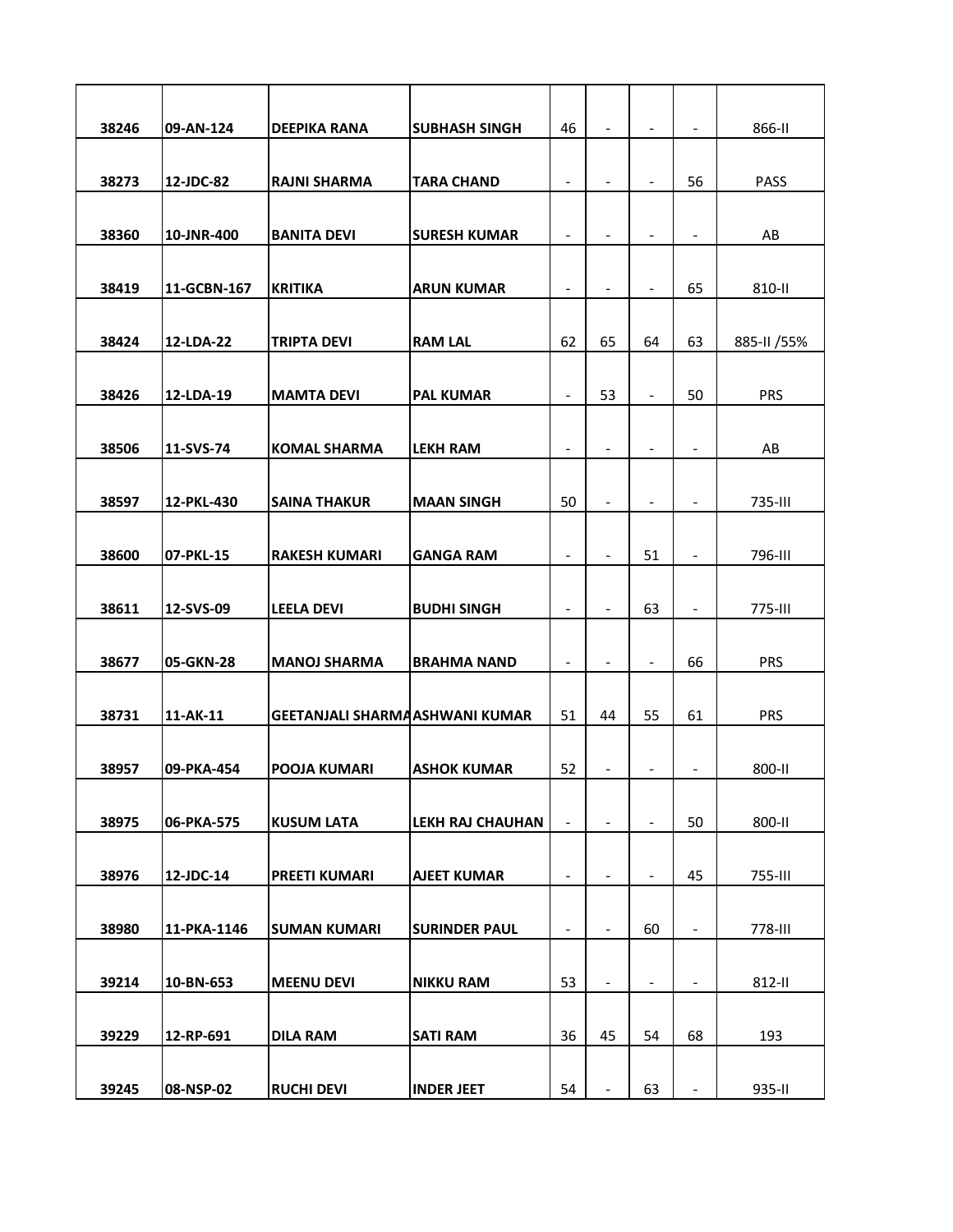| 38246 | 09-AN-124   | <b>DEEPIKA RANA</b>                    | <b>SUBHASH SINGH</b>    | 46                           | $\overline{\phantom{a}}$     | $\overline{\phantom{a}}$ | $\overline{\phantom{a}}$ | 866-II       |
|-------|-------------|----------------------------------------|-------------------------|------------------------------|------------------------------|--------------------------|--------------------------|--------------|
|       |             |                                        |                         |                              |                              |                          |                          |              |
| 38273 | 12-JDC-82   | <b>RAJNI SHARMA</b>                    | <b>TARA CHAND</b>       | $\overline{\phantom{a}}$     | $\overline{\phantom{a}}$     | $\overline{\phantom{a}}$ | 56                       | <b>PASS</b>  |
|       |             |                                        |                         |                              |                              |                          |                          |              |
| 38360 | 10-JNR-400  | <b>BANITA DEVI</b>                     | <b>SURESH KUMAR</b>     | $\qquad \qquad \blacksquare$ | $\overline{\phantom{0}}$     | $\overline{\phantom{a}}$ | $\overline{\phantom{a}}$ | AB           |
| 38419 | 11-GCBN-167 | <b>KRITIKA</b>                         | <b>ARUN KUMAR</b>       | $\qquad \qquad \blacksquare$ | $\overline{\phantom{a}}$     | $\overline{\phantom{a}}$ | 65                       | 810-II       |
|       |             |                                        |                         |                              |                              |                          |                          |              |
| 38424 | 12-LDA-22   | <b>TRIPTA DEVI</b>                     | <b>RAM LAL</b>          | 62                           | 65                           | 64                       | 63                       | 885-II / 55% |
|       |             |                                        |                         |                              |                              |                          |                          |              |
| 38426 | 12-LDA-19   | <b>MAMTA DEVI</b>                      | <b>PAL KUMAR</b>        | $\qquad \qquad \blacksquare$ | 53                           | $\blacksquare$           | 50                       | <b>PRS</b>   |
| 38506 | 11-SVS-74   | <b>KOMAL SHARMA</b>                    | <b>LEKH RAM</b>         | $\qquad \qquad \blacksquare$ | $\overline{\phantom{a}}$     | $\overline{\phantom{a}}$ |                          | AB           |
|       |             |                                        |                         |                              |                              |                          | $\overline{\phantom{a}}$ |              |
| 38597 | 12-PKL-430  | <b>SAINA THAKUR</b>                    | <b>MAAN SINGH</b>       | 50                           | $\qquad \qquad \blacksquare$ | $\overline{\phantom{a}}$ | $\overline{\phantom{a}}$ | 735-III      |
|       |             |                                        |                         |                              |                              |                          |                          |              |
| 38600 | 07-PKL-15   | <b>RAKESH KUMARI</b>                   | <b>GANGA RAM</b>        | $\qquad \qquad \blacksquare$ | $\overline{\phantom{a}}$     | 51                       | $\overline{\phantom{a}}$ | 796-III      |
|       |             |                                        |                         |                              |                              |                          |                          |              |
| 38611 | 12-SVS-09   | <b>LEELA DEVI</b>                      | <b>BUDHI SINGH</b>      | $\overline{\phantom{a}}$     | $\overline{\phantom{a}}$     | 63                       | $\overline{\phantom{a}}$ | 775-III      |
|       |             |                                        |                         |                              |                              |                          |                          |              |
| 38677 | 05-GKN-28   | <b>MANOJ SHARMA</b>                    | <b>BRAHMA NAND</b>      | $\qquad \qquad \blacksquare$ | $\overline{\phantom{a}}$     | $\overline{\phantom{a}}$ | 66                       | <b>PRS</b>   |
| 38731 | 11-AK-11    | <b>GEETANJALI SHARMA ASHWANI KUMAR</b> |                         | 51                           | 44                           | 55                       | 61                       | <b>PRS</b>   |
|       |             |                                        |                         |                              |                              |                          |                          |              |
| 38957 | 09-PKA-454  | <b>POOJA KUMARI</b>                    | <b>ASHOK KUMAR</b>      | 52                           | -                            | $\overline{\phantom{a}}$ | $\overline{\phantom{a}}$ | 800-II       |
|       |             |                                        |                         |                              |                              |                          |                          |              |
| 38975 | 06-PKA-575  | <b>KUSUM LATA</b>                      | <b>LEKH RAJ CHAUHAN</b> | $\qquad \qquad -$            | $\frac{1}{2}$                | $\overline{\phantom{a}}$ | 50                       | 800-II       |
|       |             |                                        |                         |                              |                              |                          |                          |              |
| 38976 | 12-JDC-14   | <b>PREETI KUMARI</b>                   | <b>AJEET KUMAR</b>      | $\overline{\phantom{a}}$     | $\overline{a}$               | $\overline{\phantom{a}}$ | 45                       | 755-III      |
| 38980 | 11-PKA-1146 | <b>SUMAN KUMARI</b>                    | <b>SURINDER PAUL</b>    | $\qquad \qquad \blacksquare$ | $\overline{\phantom{a}}$     | 60                       | $\overline{\phantom{a}}$ | 778-III      |
|       |             |                                        |                         |                              |                              |                          |                          |              |
| 39214 | 10-BN-653   | <b>MEENU DEVI</b>                      | <b>NIKKU RAM</b>        | 53                           | $\qquad \qquad \blacksquare$ | $\overline{\phantom{a}}$ | $\overline{\phantom{a}}$ | 812-II       |
|       |             |                                        |                         |                              |                              |                          |                          |              |
| 39229 | 12-RP-691   | <b>DILA RAM</b>                        | <b>SATI RAM</b>         | 36                           | 45                           | 54                       | 68                       | 193          |
|       |             |                                        |                         |                              |                              |                          |                          |              |
| 39245 | 08-NSP-02   | <b>RUCHI DEVI</b>                      | <b>INDER JEET</b>       | 54                           | $\blacksquare$               | 63                       | $\blacksquare$           | 935-II       |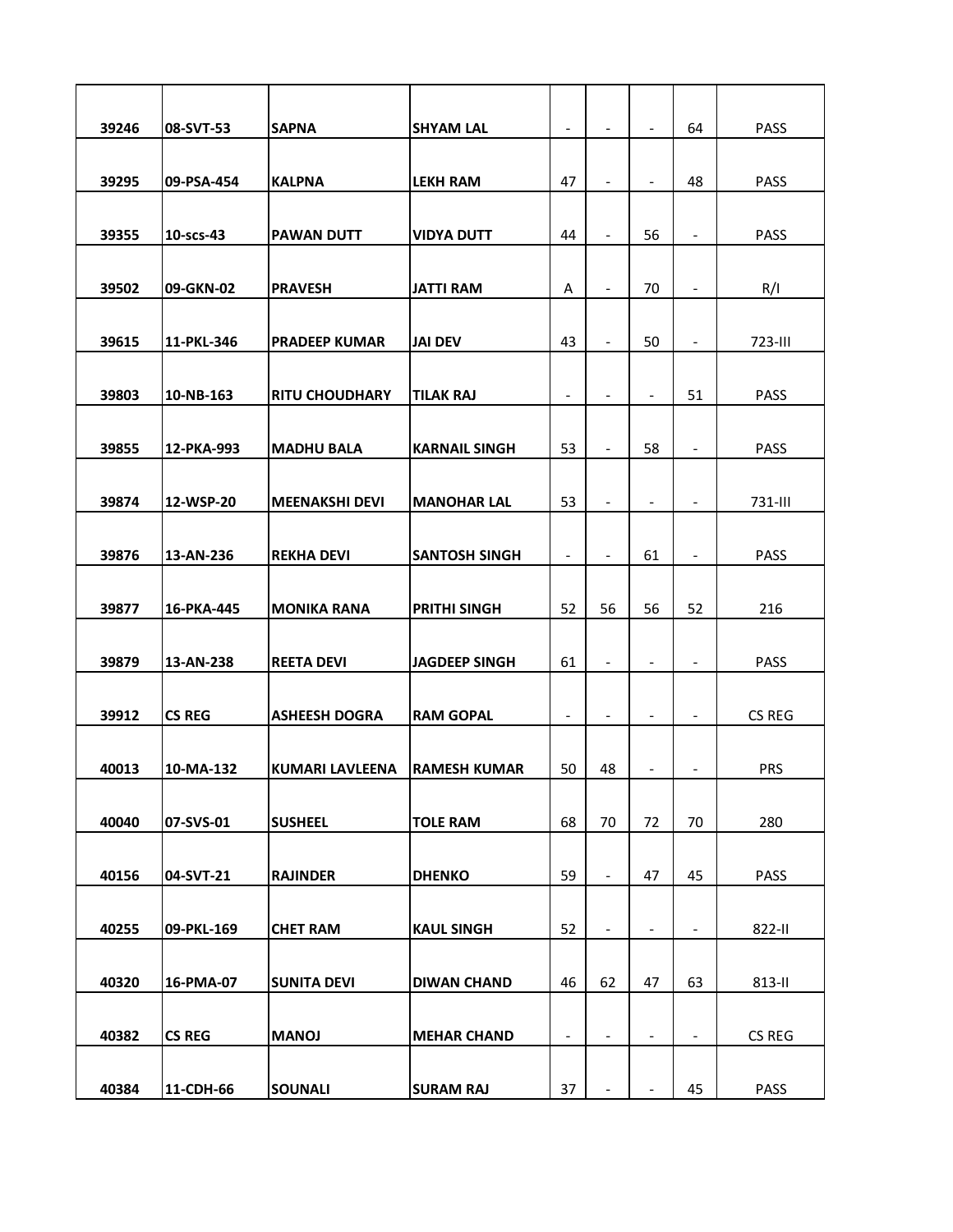| 39246 | 08-SVT-53     | <b>SAPNA</b>           | <b>SHYAM LAL</b>     | $\qquad \qquad \blacksquare$ | $\overline{\phantom{a}}$     | $\overline{\phantom{a}}$     | 64                       | <b>PASS</b> |
|-------|---------------|------------------------|----------------------|------------------------------|------------------------------|------------------------------|--------------------------|-------------|
|       |               |                        |                      |                              |                              |                              |                          |             |
| 39295 | 09-PSA-454    | <b>KALPNA</b>          | <b>LEKH RAM</b>      | 47                           | $\overline{\phantom{a}}$     | $\overline{\phantom{a}}$     | 48                       | <b>PASS</b> |
|       |               |                        |                      |                              |                              |                              |                          |             |
| 39355 | 10-scs-43     | <b>PAWAN DUTT</b>      | <b>VIDYA DUTT</b>    | 44                           | $\overline{\phantom{a}}$     | 56                           | $\overline{\phantom{a}}$ | <b>PASS</b> |
| 39502 | 09-GKN-02     | <b>PRAVESH</b>         | <b>JATTI RAM</b>     | A                            |                              | 70                           | $\overline{\phantom{a}}$ | R/I         |
|       |               |                        |                      |                              |                              |                              |                          |             |
| 39615 | 11-PKL-346    | <b>PRADEEP KUMAR</b>   | <b>JAI DEV</b>       | 43                           | $\overline{\phantom{a}}$     | 50                           | $\overline{\phantom{a}}$ | 723-III     |
|       |               |                        |                      |                              |                              |                              |                          |             |
| 39803 | 10-NB-163     | <b>RITU CHOUDHARY</b>  | <b>TILAK RAJ</b>     | $\qquad \qquad \blacksquare$ | $\overline{\phantom{a}}$     | $\qquad \qquad \blacksquare$ | 51                       | <b>PASS</b> |
|       |               |                        |                      |                              |                              |                              |                          |             |
| 39855 | 12-PKA-993    | <b>MADHU BALA</b>      | <b>KARNAIL SINGH</b> | 53                           | $\overline{\phantom{a}}$     | 58                           | $\overline{\phantom{a}}$ | <b>PASS</b> |
|       |               |                        |                      |                              |                              |                              |                          |             |
| 39874 | 12-WSP-20     | <b>MEENAKSHI DEVI</b>  | <b>MANOHAR LAL</b>   | 53                           | $\qquad \qquad \blacksquare$ | $\qquad \qquad \blacksquare$ | $\overline{\phantom{a}}$ | 731-III     |
|       |               |                        |                      |                              |                              |                              |                          |             |
| 39876 | 13-AN-236     | <b>REKHA DEVI</b>      | <b>SANTOSH SINGH</b> | $\overline{\phantom{a}}$     | $\overline{\phantom{a}}$     | 61                           | $\blacksquare$           | <b>PASS</b> |
| 39877 | 16-PKA-445    | <b>MONIKA RANA</b>     | <b>PRITHI SINGH</b>  | 52                           | 56                           | 56                           | 52                       | 216         |
|       |               |                        |                      |                              |                              |                              |                          |             |
| 39879 | 13-AN-238     | <b>REETA DEVI</b>      | <b>JAGDEEP SINGH</b> | 61                           | $\overline{\phantom{a}}$     | $\overline{\phantom{a}}$     | $\overline{\phantom{a}}$ | <b>PASS</b> |
|       |               |                        |                      |                              |                              |                              |                          |             |
| 39912 | <b>CS REG</b> | <b>ASHEESH DOGRA</b>   | <b>RAM GOPAL</b>     | $\overline{\phantom{a}}$     | $\overline{\phantom{a}}$     | $\overline{\phantom{a}}$     | $\overline{\phantom{a}}$ | CS REG      |
|       |               |                        |                      |                              |                              |                              |                          |             |
| 40013 | 10-MA-132     | <b>KUMARI LAVLEENA</b> | <b>RAMESH KUMAR</b>  | 50                           | 48                           |                              |                          | <b>PRS</b>  |
|       |               |                        |                      |                              |                              |                              |                          |             |
| 40040 | 07-SVS-01     | <b>SUSHEEL</b>         | <b>TOLE RAM</b>      | 68                           | 70                           | 72                           | 70                       | 280         |
|       |               |                        |                      |                              |                              |                              |                          |             |
| 40156 | 04-SVT-21     | <b>RAJINDER</b>        | <b>DHENKO</b>        | 59                           | $\overline{\phantom{a}}$     | 47                           | 45                       | <b>PASS</b> |
|       |               |                        |                      |                              |                              |                              |                          |             |
| 40255 | 09-PKL-169    | <b>CHET RAM</b>        | <b>KAUL SINGH</b>    | 52                           | $\overline{\phantom{a}}$     | $\qquad \qquad \blacksquare$ | $\blacksquare$           | 822-II      |
| 40320 | 16-PMA-07     | <b>SUNITA DEVI</b>     | <b>DIWAN CHAND</b>   | 46                           | 62                           | 47                           | 63                       | 813-II      |
|       |               |                        |                      |                              |                              |                              |                          |             |
| 40382 | <b>CS REG</b> | <b>MANOJ</b>           | <b>MEHAR CHAND</b>   | $\qquad \qquad \blacksquare$ | $\overline{\phantom{a}}$     | $\overline{\phantom{a}}$     | $\overline{\phantom{a}}$ | CS REG      |
|       |               |                        |                      |                              |                              |                              |                          |             |
| 40384 | 11-CDH-66     | <b>SOUNALI</b>         | <b>SURAM RAJ</b>     | 37                           |                              | $\overline{\phantom{a}}$     | 45                       | <b>PASS</b> |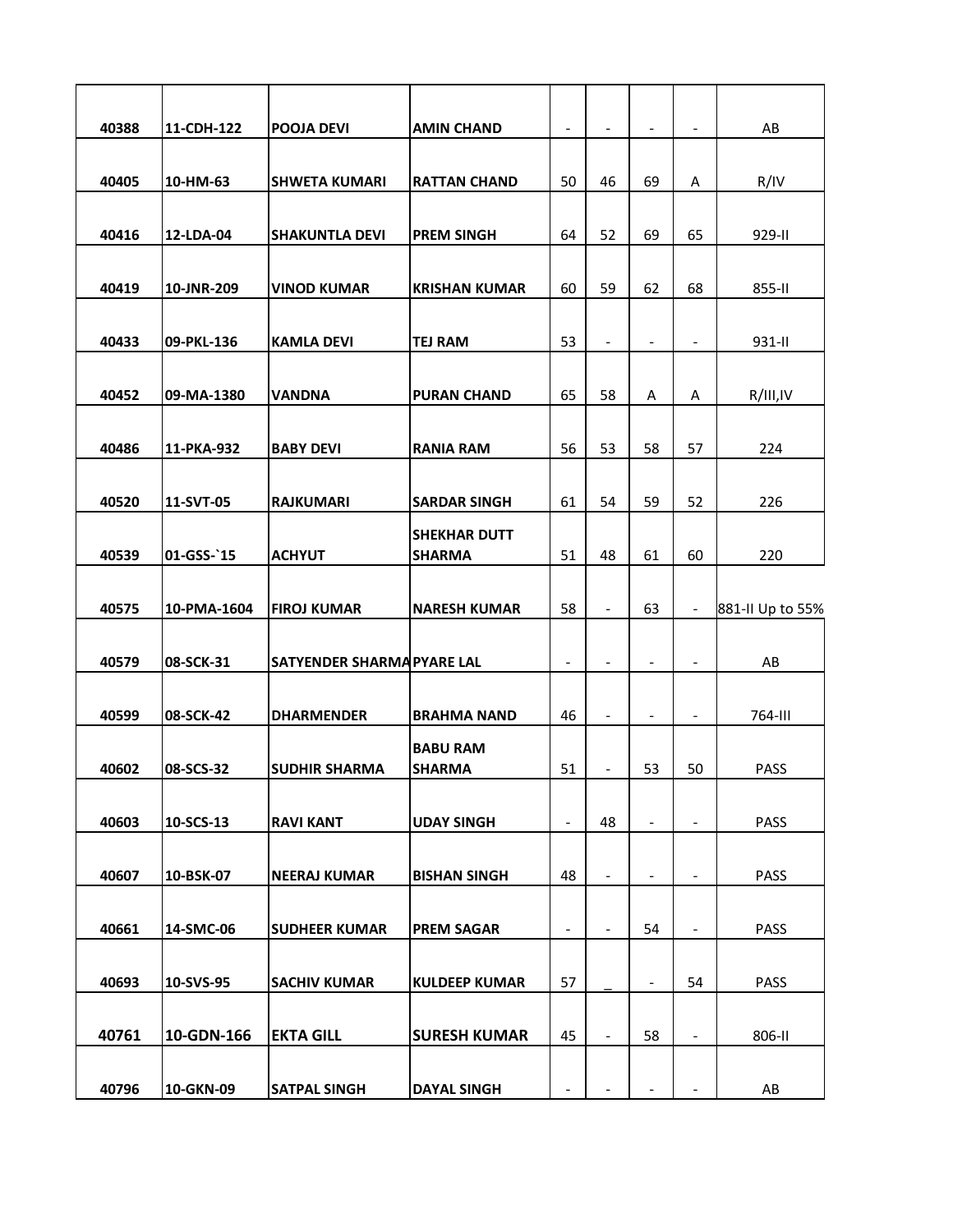| 40388 | 11-CDH-122  | <b>POOJA DEVI</b>          | <b>AMIN CHAND</b>    | $\qquad \qquad \blacksquare$ | $\overline{\phantom{a}}$ | $\overline{\phantom{a}}$     | $\overline{\phantom{a}}$ | AB               |
|-------|-------------|----------------------------|----------------------|------------------------------|--------------------------|------------------------------|--------------------------|------------------|
|       |             |                            |                      |                              |                          |                              |                          |                  |
| 40405 | 10-HM-63    | <b>SHWETA KUMARI</b>       | <b>RATTAN CHAND</b>  | 50                           | 46                       | 69                           | A                        | R/IV             |
|       |             |                            |                      |                              |                          |                              |                          |                  |
| 40416 | 12-LDA-04   | <b>SHAKUNTLA DEVI</b>      | <b>PREM SINGH</b>    | 64                           | 52                       | 69                           | 65                       | 929-II           |
|       |             |                            |                      |                              |                          |                              |                          |                  |
| 40419 | 10-JNR-209  | <b>VINOD KUMAR</b>         | <b>KRISHAN KUMAR</b> | 60                           | 59                       | 62                           | 68                       | 855-II           |
| 40433 | 09-PKL-136  | <b>KAMLA DEVI</b>          | <b>TEJ RAM</b>       | 53                           | $\overline{\phantom{a}}$ | $\overline{\phantom{a}}$     | $\overline{\phantom{a}}$ | 931-II           |
|       |             |                            |                      |                              |                          |                              |                          |                  |
| 40452 | 09-MA-1380  | <b>VANDNA</b>              | <b>PURAN CHAND</b>   | 65                           | 58                       | Α                            | Α                        | R/III,IV         |
|       |             |                            |                      |                              |                          |                              |                          |                  |
| 40486 | 11-PKA-932  | <b>BABY DEVI</b>           | <b>RANIA RAM</b>     | 56                           | 53                       | 58                           | 57                       | 224              |
|       |             |                            |                      |                              |                          |                              |                          |                  |
| 40520 | 11-SVT-05   | <b>RAJKUMARI</b>           | <b>SARDAR SINGH</b>  | 61                           | 54                       | 59                           | 52                       | 226              |
|       |             |                            | <b>SHEKHAR DUTT</b>  |                              |                          |                              |                          |                  |
| 40539 | 01-GSS-`15  | <b>ACHYUT</b>              | <b>SHARMA</b>        | 51                           | 48                       | 61                           | 60                       | 220              |
| 40575 | 10-PMA-1604 | <b>FIROJ KUMAR</b>         | <b>NARESH KUMAR</b>  | 58                           | $\overline{\phantom{a}}$ | 63                           | $\overline{\phantom{a}}$ | 881-II Up to 55% |
|       |             |                            |                      |                              |                          |                              |                          |                  |
|       |             |                            |                      |                              |                          |                              |                          |                  |
| 40579 | 08-SCK-31   | SATYENDER SHARMA PYARE LAL |                      | $\overline{\phantom{a}}$     | $\overline{\phantom{0}}$ | $\qquad \qquad \blacksquare$ | $\overline{\phantom{a}}$ | AB               |
|       |             |                            |                      |                              |                          |                              |                          |                  |
| 40599 | 08-SCK-42   | <b>DHARMENDER</b>          | <b>BRAHMA NAND</b>   | 46                           | $\overline{\phantom{a}}$ | $\overline{\phantom{a}}$     | $\overline{\phantom{a}}$ | 764-III          |
|       |             |                            | <b>BABU RAM</b>      |                              |                          |                              |                          |                  |
| 40602 | 08-SCS-32   | <b>SUDHIR SHARMA</b>       | <b>SHARMA</b>        | 51                           |                          | 53                           | 50                       | <b>PASS</b>      |
|       |             |                            |                      |                              |                          |                              |                          |                  |
| 40603 | 10-SCS-13   | <b>RAVI KANT</b>           | <b>UDAY SINGH</b>    | $\overline{\phantom{a}}$     | 48                       | $\overline{\phantom{a}}$     | $\overline{\phantom{a}}$ | <b>PASS</b>      |
|       |             |                            |                      |                              |                          |                              |                          |                  |
| 40607 | 10-BSK-07   | <b>NEERAJ KUMAR</b>        | <b>BISHAN SINGH</b>  | 48                           | $\overline{\phantom{a}}$ | $\overline{\phantom{a}}$     | $\overline{\phantom{a}}$ | <b>PASS</b>      |
| 40661 | 14-SMC-06   | <b>SUDHEER KUMAR</b>       | <b>PREM SAGAR</b>    | $\overline{\phantom{0}}$     | $\overline{\phantom{0}}$ | 54                           | $\overline{\phantom{a}}$ | <b>PASS</b>      |
|       |             |                            |                      |                              |                          |                              |                          |                  |
| 40693 | 10-SVS-95   | <b>SACHIV KUMAR</b>        | <b>KULDEEP KUMAR</b> | 57                           |                          | $\overline{\phantom{a}}$     | 54                       | <b>PASS</b>      |
|       |             |                            |                      |                              |                          |                              |                          |                  |
| 40761 | 10-GDN-166  | <b>EKTA GILL</b>           | <b>SURESH KUMAR</b>  | 45                           |                          | 58                           | $\overline{\phantom{a}}$ | 806-II           |
|       |             |                            |                      |                              |                          |                              |                          |                  |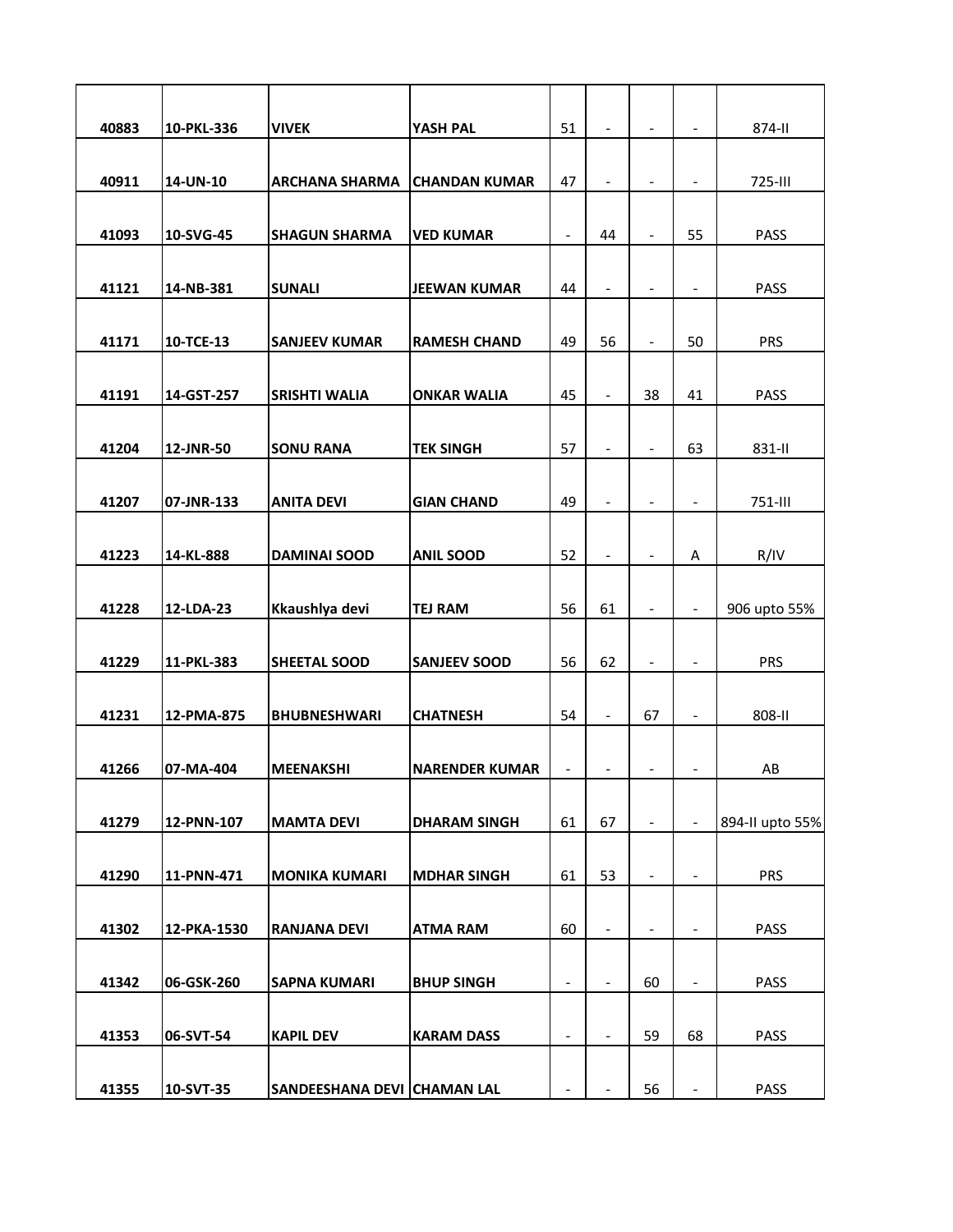| 40883 | 10-PKL-336  | <b>VIVEK</b>                | YASH PAL              | 51                       | $\overline{\phantom{a}}$     | $\overline{\phantom{a}}$     | $\overline{\phantom{a}}$ | 874-II          |
|-------|-------------|-----------------------------|-----------------------|--------------------------|------------------------------|------------------------------|--------------------------|-----------------|
|       |             |                             |                       |                          |                              |                              |                          |                 |
| 40911 | 14-UN-10    | <b>ARCHANA SHARMA</b>       | <b>CHANDAN KUMAR</b>  | 47                       | $\overline{\phantom{0}}$     | $\overline{\phantom{a}}$     | -                        | 725-III         |
|       |             |                             |                       |                          | 44                           | $\overline{\phantom{a}}$     | 55                       | <b>PASS</b>     |
| 41093 | 10-SVG-45   | <b>SHAGUN SHARMA</b>        | <b>VED KUMAR</b>      | $\overline{\phantom{a}}$ |                              |                              |                          |                 |
| 41121 | 14-NB-381   | <b>SUNALI</b>               | <b>JEEWAN KUMAR</b>   | 44                       | $\frac{1}{2}$                | $\overline{\phantom{a}}$     | $\overline{\phantom{a}}$ | <b>PASS</b>     |
|       |             |                             |                       |                          |                              |                              |                          |                 |
| 41171 | 10-TCE-13   | <b>SANJEEV KUMAR</b>        | <b>RAMESH CHAND</b>   | 49                       | 56                           | $\overline{\phantom{a}}$     | 50                       | <b>PRS</b>      |
|       |             |                             |                       |                          |                              |                              |                          |                 |
| 41191 | 14-GST-257  | <b>SRISHTI WALIA</b>        | <b>ONKAR WALIA</b>    | 45                       | $\qquad \qquad \blacksquare$ | 38                           | 41                       | <b>PASS</b>     |
| 41204 | 12-JNR-50   | <b>SONU RANA</b>            | <b>TEK SINGH</b>      | 57                       | $\overline{\phantom{a}}$     | $\overline{\phantom{a}}$     | 63                       | 831-II          |
|       |             |                             |                       |                          |                              |                              |                          |                 |
| 41207 | 07-JNR-133  | <b>ANITA DEVI</b>           | <b>GIAN CHAND</b>     | 49                       | $\overline{\phantom{a}}$     | $\blacksquare$               | $\overline{\phantom{0}}$ | 751-III         |
|       |             |                             |                       |                          |                              |                              |                          |                 |
| 41223 | 14-KL-888   | <b>DAMINAI SOOD</b>         | <b>ANIL SOOD</b>      | 52                       | $\overline{\phantom{a}}$     | $\overline{\phantom{a}}$     | Α                        | R/IV            |
|       |             |                             |                       |                          |                              |                              |                          |                 |
| 41228 | 12-LDA-23   | Kkaushlya devi              | <b>TEJ RAM</b>        | 56                       | 61                           | $\overline{\phantom{a}}$     | $\overline{\phantom{a}}$ | 906 upto 55%    |
|       |             |                             |                       |                          |                              |                              |                          |                 |
| 41229 | 11-PKL-383  | SHEETAL SOOD                | <b>SANJEEV SOOD</b>   | 56                       | 62                           | $\qquad \qquad \blacksquare$ | $\frac{1}{2}$            | <b>PRS</b>      |
| 41231 | 12-PMA-875  | <b>BHUBNESHWARI</b>         | <b>CHATNESH</b>       | 54                       | $\overline{\phantom{a}}$     | 67                           | $\blacksquare$           | 808-II          |
|       |             |                             |                       |                          |                              |                              |                          |                 |
| 41266 | 07-MA-404   | <b>MEENAKSHI</b>            | <b>NARENDER KUMAR</b> | $\overline{\phantom{a}}$ | -                            | $\overline{\phantom{a}}$     |                          | AB              |
|       |             |                             |                       |                          |                              |                              |                          |                 |
| 41279 | 12-PNN-107  | <b>MAMTA DEVI</b>           | <b>DHARAM SINGH</b>   | 61                       | 67                           | $\overline{\phantom{a}}$     | $\frac{1}{2}$            | 894-II upto 55% |
|       |             |                             |                       |                          |                              |                              |                          |                 |
| 41290 | 11-PNN-471  | <b>MONIKA KUMARI</b>        | <b>MDHAR SINGH</b>    | 61                       | 53                           | $\overline{\phantom{a}}$     | $\overline{\phantom{a}}$ | <b>PRS</b>      |
| 41302 | 12-PKA-1530 | <b>RANJANA DEVI</b>         | <b>ATMA RAM</b>       | 60                       | $\overline{\phantom{a}}$     | $\qquad \qquad \blacksquare$ | -                        | <b>PASS</b>     |
|       |             |                             |                       |                          |                              |                              |                          |                 |
| 41342 | 06-GSK-260  | <b>SAPNA KUMARI</b>         | <b>BHUP SINGH</b>     | $\overline{\phantom{0}}$ |                              | 60                           |                          | <b>PASS</b>     |
|       |             |                             |                       |                          |                              |                              |                          |                 |
| 41353 | 06-SVT-54   | <b>KAPIL DEV</b>            | <b>KARAM DASS</b>     | $\overline{\phantom{a}}$ |                              | 59                           | 68                       | PASS            |
|       |             |                             |                       |                          |                              |                              |                          |                 |
| 41355 | 10-SVT-35   | SANDEESHANA DEVI CHAMAN LAL |                       |                          |                              | 56                           | $\blacksquare$           | <b>PASS</b>     |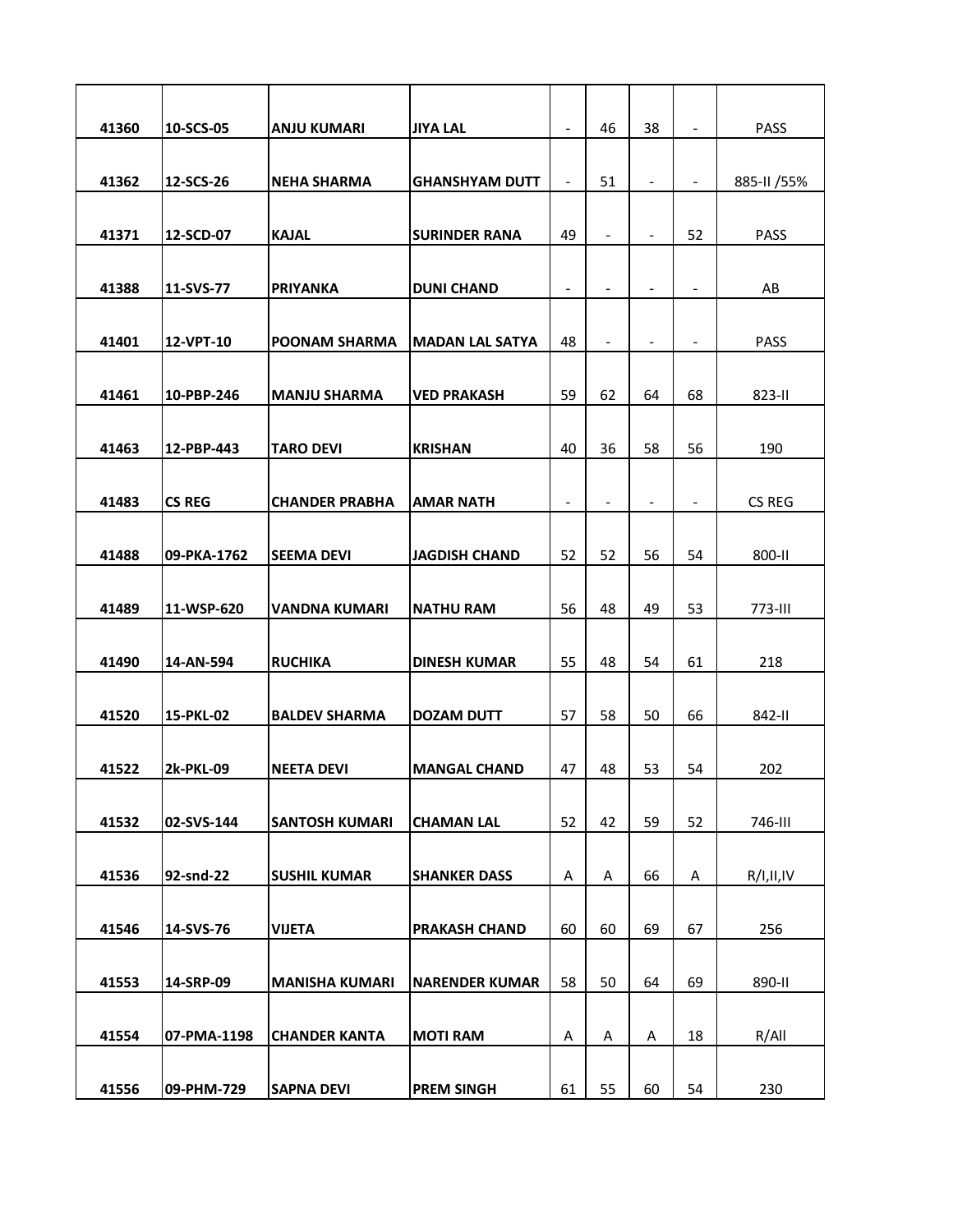| 41360 | 10-SCS-05        | <b>ANJU KUMARI</b>    | <b>JIYA LAL</b>        | $\overline{\phantom{a}}$ | 46                       | 38                       | $\blacksquare$           | <b>PASS</b>  |
|-------|------------------|-----------------------|------------------------|--------------------------|--------------------------|--------------------------|--------------------------|--------------|
| 41362 | 12-SCS-26        | <b>NEHA SHARMA</b>    | <b>GHANSHYAM DUTT</b>  | $\overline{\phantom{a}}$ | 51                       | $\overline{\phantom{a}}$ | $\blacksquare$           | 885-II / 55% |
|       |                  |                       |                        |                          |                          |                          |                          |              |
| 41371 | 12-SCD-07        | <b>KAJAL</b>          | <b>SURINDER RANA</b>   | 49                       | $\overline{\phantom{a}}$ | $\overline{\phantom{a}}$ | 52                       | <b>PASS</b>  |
|       |                  |                       |                        |                          |                          |                          |                          |              |
| 41388 | 11-SVS-77        | <b>PRIYANKA</b>       | <b>DUNI CHAND</b>      | $\overline{\phantom{a}}$ | $\overline{\phantom{0}}$ | $\overline{\phantom{a}}$ | $\overline{\phantom{a}}$ | AB           |
| 41401 | 12-VPT-10        | <b>POONAM SHARMA</b>  | <b>MADAN LAL SATYA</b> | 48                       | $\overline{\phantom{a}}$ | $\overline{\phantom{a}}$ | $\overline{\phantom{a}}$ | <b>PASS</b>  |
|       |                  |                       |                        |                          |                          |                          |                          |              |
| 41461 | 10-PBP-246       | <b>MANJU SHARMA</b>   | <b>VED PRAKASH</b>     | 59                       | 62                       | 64                       | 68                       | 823-II       |
|       |                  |                       |                        |                          |                          |                          |                          |              |
| 41463 | 12-PBP-443       | <b>TARO DEVI</b>      | <b>KRISHAN</b>         | 40                       | 36                       | 58                       | 56                       | 190          |
| 41483 | <b>CS REG</b>    | <b>CHANDER PRABHA</b> | <b>AMAR NATH</b>       | $\overline{\phantom{a}}$ | $\overline{\phantom{a}}$ | $\overline{\phantom{a}}$ | $\overline{\phantom{0}}$ | CS REG       |
|       |                  |                       |                        |                          |                          |                          |                          |              |
| 41488 | 09-PKA-1762      | <b>SEEMA DEVI</b>     | <b>JAGDISH CHAND</b>   | 52                       | 52                       | 56                       | 54                       | 800-II       |
|       |                  |                       |                        |                          |                          |                          |                          |              |
| 41489 | 11-WSP-620       | <b>VANDNA KUMARI</b>  | <b>NATHU RAM</b>       | 56                       | 48                       | 49                       | 53                       | 773-III      |
|       |                  |                       |                        |                          |                          |                          |                          |              |
| 41490 | 14-AN-594        | <b>RUCHIKA</b>        | <b>DINESH KUMAR</b>    | 55                       | 48                       | 54                       | 61                       | 218          |
| 41520 | 15-PKL-02        | <b>BALDEV SHARMA</b>  | <b>DOZAM DUTT</b>      | 57                       | 58                       | 50                       | 66                       | 842-II       |
|       |                  |                       |                        |                          |                          |                          |                          |              |
| 41522 | <b>2k-PKL-09</b> | <b>NEETA DEVI</b>     | <b>MANGAL CHAND</b>    | 47                       | 48                       | 53                       | 54                       | 202          |
| 41532 | 02-SVS-144       | <b>SANTOSH KUMARI</b> | <b>CHAMAN LAL</b>      | 52                       | 42                       | 59                       | 52                       | 746-III      |
|       |                  |                       |                        |                          |                          |                          |                          |              |
| 41536 | 92-snd-22        | <b>SUSHIL KUMAR</b>   | <b>SHANKER DASS</b>    | Α                        | Α                        | 66                       | Α                        | R/I,II,IV    |
|       |                  |                       |                        |                          |                          |                          |                          |              |
| 41546 | 14-SVS-76        | <b>VIJETA</b>         | <b>PRAKASH CHAND</b>   | 60                       | 60                       | 69                       | 67                       | 256          |
|       |                  |                       |                        |                          |                          |                          |                          |              |
| 41553 | 14-SRP-09        | <b>MANISHA KUMARI</b> | <b>NARENDER KUMAR</b>  | 58                       | 50                       | 64                       | 69                       | 890-II       |
|       |                  |                       |                        |                          |                          |                          |                          |              |
| 41554 | 07-PMA-1198      | <b>CHANDER KANTA</b>  | <b>MOTI RAM</b>        | A                        | Α                        | Α                        | 18                       | R/All        |
| 41556 | 09-PHM-729       | <b>SAPNA DEVI</b>     | <b>PREM SINGH</b>      | 61                       | 55                       | 60                       | 54                       | 230          |
|       |                  |                       |                        |                          |                          |                          |                          |              |